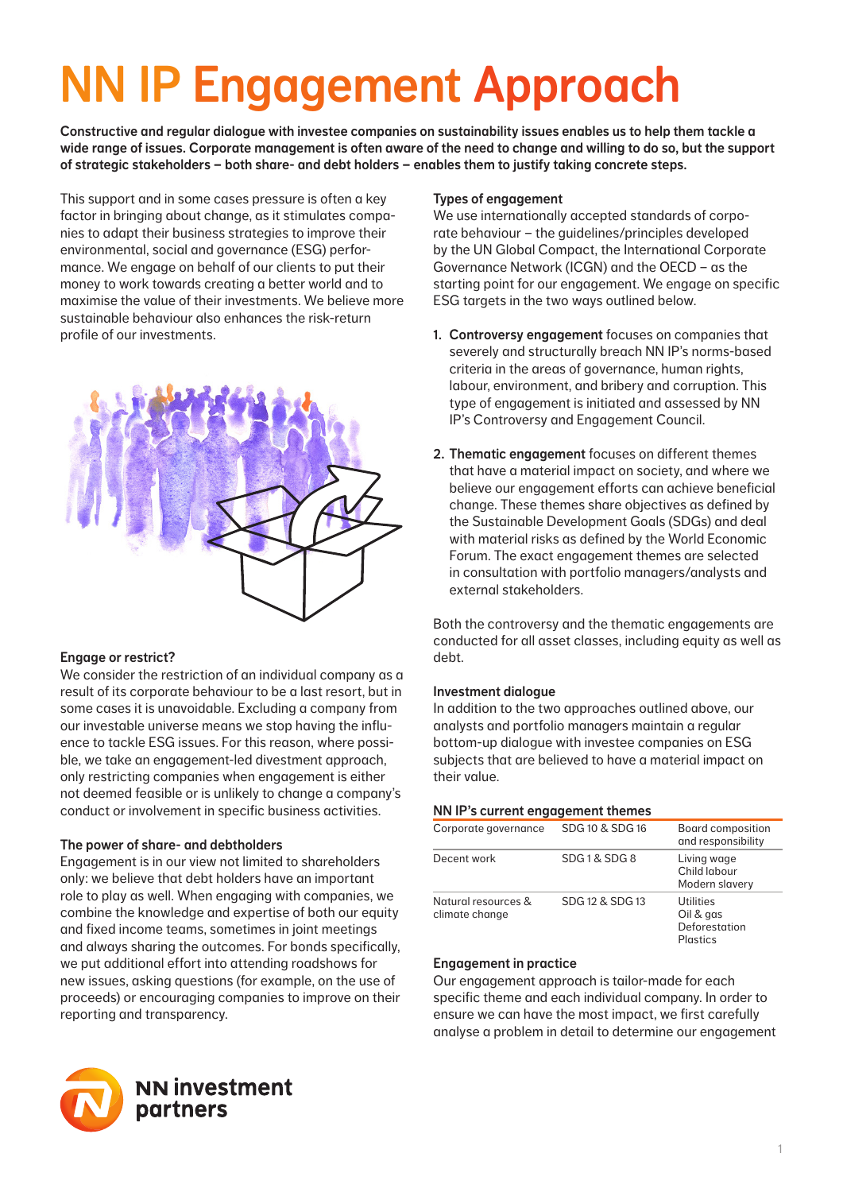# NN IP Engagement Approach

Constructive and regular dialogue with investee companies on sustainability issues enables us to help them tackle a wide range of issues. Corporate management is often aware of the need to change and willing to do so, but the support of strategic stakeholders – both share- and debt holders – enables them to justify taking concrete steps.

This support and in some cases pressure is often a key factor in bringing about change, as it stimulates companies to adapt their business strategies to improve their environmental, social and governance (ESG) performance. We engage on behalf of our clients to put their money to work towards creating a better world and to maximise the value of their investments. We believe more sustainable behaviour also enhances the risk-return profile of our investments.



# Engage or restrict?

We consider the restriction of an individual company as a result of its corporate behaviour to be a last resort, but in some cases it is unavoidable. Excluding a company from our investable universe means we stop having the influence to tackle ESG issues. For this reason, where possible, we take an engagement-led divestment approach, only restricting companies when engagement is either not deemed feasible or is unlikely to change a company's conduct or involvement in specific business activities.

# The power of share- and debtholders

Engagement is in our view not limited to shareholders only: we believe that debt holders have an important role to play as well. When engaging with companies, we combine the knowledge and expertise of both our equity and fixed income teams, sometimes in joint meetings and always sharing the outcomes. For bonds specifically, we put additional effort into attending roadshows for new issues, asking questions (for example, on the use of proceeds) or encouraging companies to improve on their reporting and transparency.



# Types of engagement

We use internationally accepted standards of corporate behaviour – the guidelines/principles developed by the UN Global Compact, the International Corporate Governance Network (ICGN) and the OECD – as the starting point for our engagement. We engage on specific ESG targets in the two ways outlined below.

- 1. Controversy engagement focuses on companies that severely and structurally breach NN IP's norms-based criteria in the areas of governance, human rights, labour, environment, and bribery and corruption. This type of engagement is initiated and assessed by NN IP's Controversy and Engagement Council.
- 2. Thematic engagement focuses on different themes that have a material impact on society, and where we believe our engagement efforts can achieve beneficial change. These themes share objectives as defined by the Sustainable Development Goals (SDGs) and deal with material risks as defined by the World Economic Forum. The exact engagement themes are selected in consultation with portfolio managers/analysts and external stakeholders.

Both the controversy and the thematic engagements are conducted for all asset classes, including equity as well as debt.

# Investment dialogue

In addition to the two approaches outlined above, our analysts and portfolio managers maintain a regular bottom-up dialogue with investee companies on ESG subjects that are believed to have a material impact on their value.

## NN IP's current engagement themes

| Corporate governance                  | SDG 10 & SDG 16 | Board composition<br>and responsibility             |
|---------------------------------------|-----------------|-----------------------------------------------------|
| Decent work                           | SDG1&SDG8       | Living wage<br>Child labour<br>Modern slavery       |
| Natural resources &<br>climate change | SDG 12 & SDG 13 | Utilities<br>Oil & gas<br>Deforestation<br>Plastics |

## Engagement in practice

Our engagement approach is tailor-made for each specific theme and each individual company. In order to ensure we can have the most impact, we first carefully analyse a problem in detail to determine our engagement